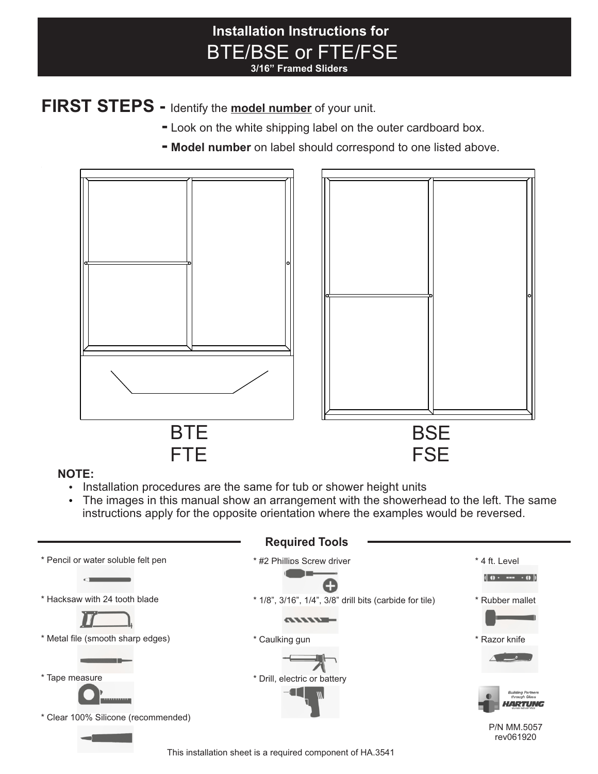### **Installation Instructions for** BTE/BSE or FTE/FSE **3/16" Framed Sliders**

## **FIRST STEPS -** Identify the **model number** of your unit.

- **-** Look on the white shipping label on the outer cardboard box.
- **- Model number** on label should correspond to one listed above.



### **NOTE:**

- Installation procedures are the same for tub or shower height units
- The images in this manual show an arrangement with the showerhead to the left. The same instructions apply for the opposite orientation where the examples would be reversed.

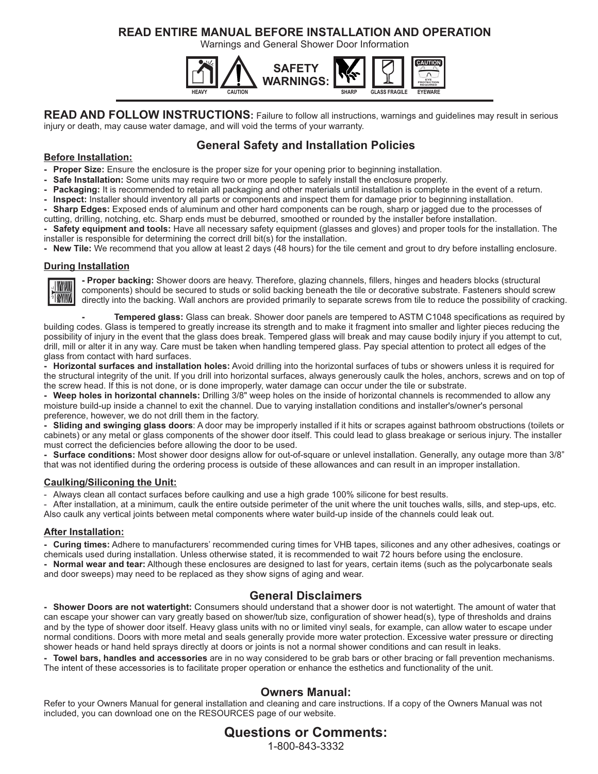### **READ ENTIRE MANUAL BEFORE INSTALLATION AND OPERATION**

Warnings and General Shower Door Information



**READ AND FOLLOW INSTRUCTIONS:** Failure to follow all instructions, warnings and guidelines may result in serious injury or death, may cause water damage, and will void the terms of your warranty.

### **General Safety and Installation Policies**

#### **Before Installation:**

- **Proper Size:** Ensure the enclosure is the proper size for your opening prior to beginning installation.
- **Safe Installation:** Some units may require two or more people to safely install the enclosure properly.
- **Packaging:** It is recommended to retain all packaging and other materials until installation is complete in the event of a return.
- **Inspect:** Installer should inventory all parts or components and inspect them for damage prior to beginning installation.
- **Sharp Edges:** Exposed ends of aluminum and other hard components can be rough, sharp or jagged due to the processes of cutting, drilling, notching, etc. Sharp ends must be deburred, smoothed or rounded by the installer before installation.
- **Safety equipment and tools:** Have all necessary safety equipment (glasses and gloves) and proper tools for the installation. The installer is responsible for determining the correct drill bit(s) for the installation.
- **New Tile:** We recommend that you allow at least 2 days (48 hours) for the tile cement and grout to dry before installing enclosure.

#### **During Installation**



**- Proper backing:** Shower doors are heavy. Therefore, glazing channels, fillers, hinges and headers blocks (structural components) should be secured to studs or solid backing beneath the tile or decorative substrate. Fasteners should screw directly into the backing. Wall anchors are provided primarily to separate screws from tile to reduce the possibility of cracking.

**- Tempered glass:** Glass can break. Shower door panels are tempered to ASTM C1048 specifications as required by building codes. Glass is tempered to greatly increase its strength and to make it fragment into smaller and lighter pieces reducing the possibility of injury in the event that the glass does break. Tempered glass will break and may cause bodily injury if you attempt to cut, drill, mill or alter it in any way. Care must be taken when handling tempered glass. Pay special attention to protect all edges of the glass from contact with hard surfaces.

**- Horizontal surfaces and installation holes:** Avoid drilling into the horizontal surfaces of tubs or showers unless it is required for the structural integrity of the unit. If you drill into horizontal surfaces, always generously caulk the holes, anchors, screws and on top of the screw head. If this is not done, or is done improperly, water damage can occur under the tile or substrate.

**- Weep holes in horizontal channels:** Drilling 3/8" weep holes on the inside of horizontal channels is recommended to allow any moisture build-up inside a channel to exit the channel. Due to varying installation conditions and installer's/owner's personal preference, however, we do not drill them in the factory.

**- Sliding and swinging glass doors**: A door may be improperly installed if it hits or scrapes against bathroom obstructions (toilets or cabinets) or any metal or glass components of the shower door itself. This could lead to glass breakage or serious injury. The installer must correct the deficiencies before allowing the door to be used.

**- Surface conditions:** Most shower door designs allow for out-of-square or unlevel installation. Generally, any outage more than 3/8" that was not identified during the ordering process is outside of these allowances and can result in an improper installation.

#### **Caulking/Siliconing the Unit:**

Always clean all contact surfaces before caulking and use a high grade 100% silicone for best results.

After installation, at a minimum, caulk the entire outside perimeter of the unit where the unit touches walls, sills, and step-ups, etc. Also caulk any vertical joints between metal components where water build-up inside of the channels could leak out.

#### **After Installation:**

**- Curing times:** Adhere to manufacturers' recommended curing times for VHB tapes, silicones and any other adhesives, coatings or chemicals used during installation. Unless otherwise stated, it is recommended to wait 72 hours before using the enclosure. **- Normal wear and tear:** Although these enclosures are designed to last for years, certain items (such as the polycarbonate seals and door sweeps) may need to be replaced as they show signs of aging and wear.

#### **General Disclaimers**

**- Shower Doors are not watertight:** Consumers should understand that a shower door is not watertight. The amount of water that can escape your shower can vary greatly based on shower/tub size, configuration of shower head(s), type of thresholds and drains and by the type of shower door itself. Heavy glass units with no or limited vinyl seals, for example, can allow water to escape under normal conditions. Doors with more metal and seals generally provide more water protection. Excessive water pressure or directing shower heads or hand held sprays directly at doors or joints is not a normal shower conditions and can result in leaks.

**- Towel bars, handles and accessories** are in no way considered to be grab bars or other bracing or fall prevention mechanisms. The intent of these accessories is to facilitate proper operation or enhance the esthetics and functionality of the unit.

#### **Owners Manual:**

Refer to your Owners Manual for general installation and cleaning and care instructions. If a copy of the Owners Manual was not included, you can download one on the RESOURCES page of our website.

### **Questions or Comments:**

1-800-843-3332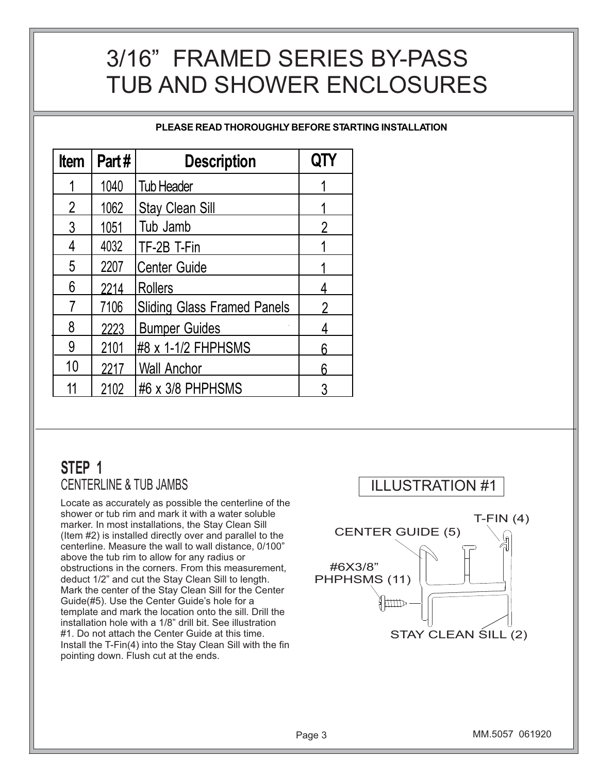# 3/16" FRAMED SERIES BY-PASS TUB AND SHOWER ENCLOSURES

**PLEASE READ THOROUGHLY BEFORE STARTING INSTALLATION**

| <b>Item</b>    | Part# | <b>Description</b>                 |   |
|----------------|-------|------------------------------------|---|
|                | 1040  | <b>Tub Header</b>                  |   |
| $\overline{2}$ | 1062  | <b>Stay Clean Sill</b>             |   |
| 3              | 1051  | Tub Jamb                           | 2 |
| 4              | 4032  | TF-2B T-Fin                        |   |
| 5              | 2207  | <b>Center Guide</b>                |   |
| 6              | 2214  | <b>Rollers</b>                     |   |
|                | 7106  | <b>Sliding Glass Framed Panels</b> |   |
| 8              | 2223  | <b>Bumper Guides</b>               |   |
| 9              | 2101  | #8 x 1-1/2 FHPHSMS                 |   |
| 10             | 2217  | <b>Wall Anchor</b>                 | ჩ |
|                | 2102  | #6 x 3/8 PHPHSMS                   |   |

## **STEP 1** CENTERLINE & TUB JAMBS

Locate as accurately as possible the centerline of the shower or tub rim and mark it with a water soluble marker. In most installations, the Stay Clean Sill (Item #2) is installed directly over and parallel to the centerline. Measure the wall to wall distance, 0/100" above the tub rim to allow for any radius or obstructions in the corners. From this measurement, deduct 1/2" and cut the Stay Clean Sill to length. Mark the center of the Stay Clean Sill for the Center Guide(#5). Use the Center Guide's hole for a template and mark the location onto the sill. Drill the installation hole with a 1/8" drill bit. See illustration #1. Do not attach the Center Guide at this time. Install the T-Fin(4) into the Stay Clean Sill with the fin pointing down. Flush cut at the ends.

### ILLUSTRATION #1

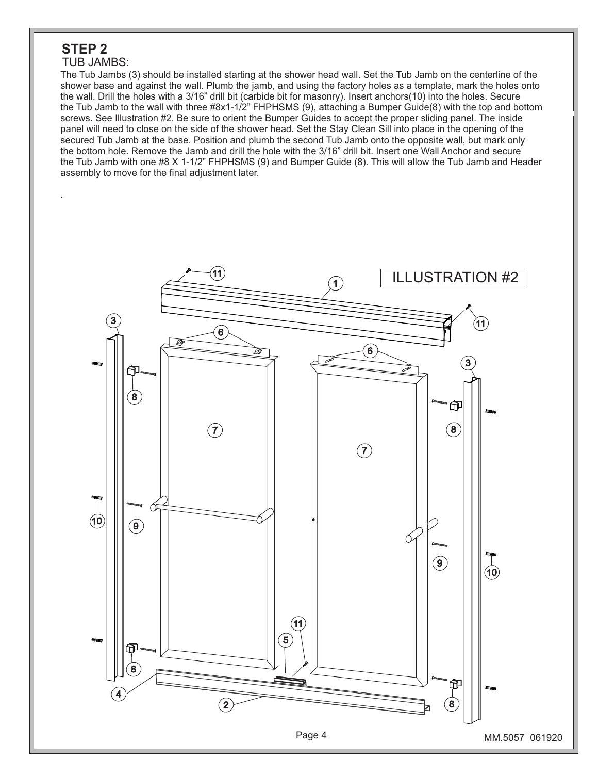### **STEP 2**

.

#### TUB JAMBS:

The Tub Jambs (3) should be installed starting at the shower head wall. Set the Tub Jamb on the centerline of the shower base and against the wall. Plumb the jamb, and using the factory holes as a template, mark the holes onto the wall. Drill the holes with a 3/16" drill bit (carbide bit for masonry). Insert anchors(10) into the holes. Secure the Tub Jamb to the wall with three #8x1-1/2" FHPHSMS (9), attaching a Bumper Guide(8) with the top and bottom screws. See Illustration #2. Be sure to orient the Bumper Guides to accept the proper sliding panel. The inside panel will need to close on the side of the shower head. Set the Stay Clean Sill into place in the opening of the secured Tub Jamb at the base. Position and plumb the second Tub Jamb onto the opposite wall, but mark only the bottom hole. Remove the Jamb and drill the hole with the 3/16" drill bit. Insert one Wall Anchor and secure the Tub Jamb with one #8 X 1-1/2" FHPHSMS (9) and Bumper Guide (8). This will allow the Tub Jamb and Header assembly to move for the final adjustment later.

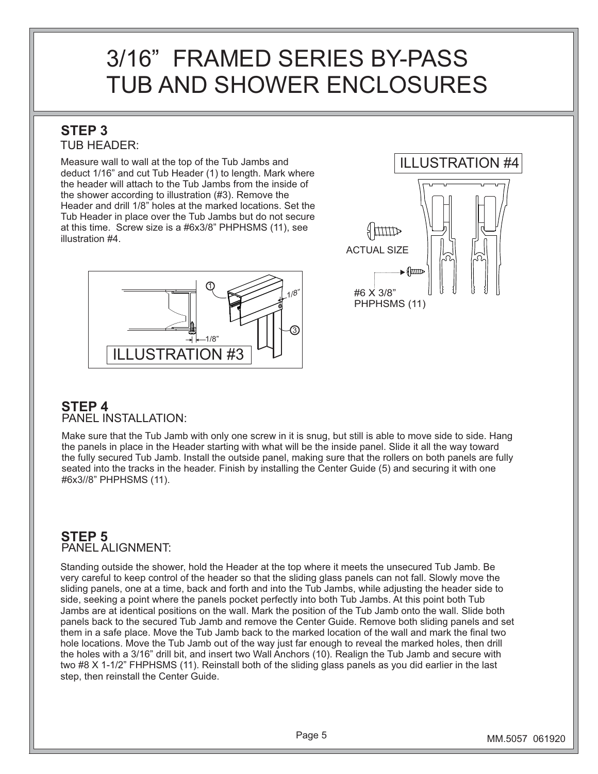# 3/16" FRAMED SERIES BY-PASS TUB AND SHOWER ENCLOSURES

### **STEP 3** TUB HEADER:

Measure wall to wall at the top of the Tub Jambs and deduct 1/16" and cut Tub Header (1) to length. Mark where the header will attach to the Tub Jambs from the inside of the shower according to illustration (#3). Remove the Header and drill 1/8" holes at the marked locations. Set the Tub Header in place over the Tub Jambs but do not secure at this time. Screw size is a #6x3/8" PHPHSMS (11), see illustration #4.





### **STEP 4** PANEL INSTALLATION:

Make sure that the Tub Jamb with only one screw in it is snug, but still is able to move side to side. Hang the panels in place in the Header starting with what will be the inside panel. Slide it all the way toward the fully secured Tub Jamb. Install the outside panel, making sure that the rollers on both panels are fully seated into the tracks in the header. Finish by installing the Center Guide (5) and securing it with one #6x3//8" PHPHSMS (11).

### **STEP 5** PANEL ALIGNMENT:

Standing outside the shower, hold the Header at the top where it meets the unsecured Tub Jamb. Be very careful to keep control of the header so that the sliding glass panels can not fall. Slowly move the sliding panels, one at a time, back and forth and into the Tub Jambs, while adjusting the header side to side, seeking a point where the panels pocket perfectly into both Tub Jambs. At this point both Tub Jambs are at identical positions on the wall. Mark the position of the Tub Jamb onto the wall. Slide both panels back to the secured Tub Jamb and remove the Center Guide. Remove both sliding panels and set them in a safe place. Move the Tub Jamb back to the marked location of the wall and mark the final two hole locations. Move the Tub Jamb out of the way just far enough to reveal the marked holes, then drill the holes with a 3/16" drill bit, and insert two Wall Anchors (10). Realign the Tub Jamb and secure with two #8 X 1-1/2" FHPHSMS (11). Reinstall both of the sliding glass panels as you did earlier in the last step, then reinstall the Center Guide.